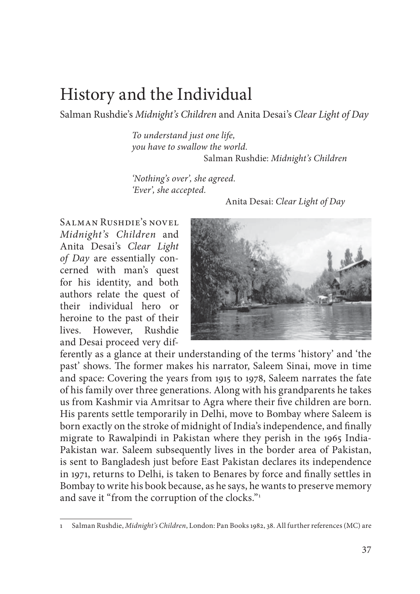## History and the Individual

Salman Rushdie's *Midnight's Children* and Anita Desai's *Clear Light of Day*

*To understand just one life, you have to swallow the world.*  Salman Rushdie: *Midnight's Children*

*'Nothing's over', she agreed. 'Ever', she accepted.* 

Anita Desai: *Clear Light of Day*

Salman Rushdie's novel *Midnight's Children* and Anita Desai's *Clear Light of Day* are essentially concerned with man's quest for his identity, and both authors relate the quest of their individual hero or heroine to the past of their lives. However, Rushdie and Desai proceed very dif-



ferently as a glance at their understanding of the terms 'history' and 'the past' shows. The former makes his narrator, Saleem Sinai, move in time and space: Covering the years from 1915 to 1978, Saleem narrates the fate of his family over three generations. Along with his grandparents he takes us from Kashmir via Amritsar to Agra where their five children are born. His parents settle temporarily in Delhi, move to Bombay where Saleem is born exactly on the stroke of midnight of India's independence, and finally migrate to Rawalpindi in Pakistan where they perish in the 1965 India-Pakistan war. Saleem subsequently lives in the border area of Pakistan, is sent to Bangladesh just before East Pakistan declares its independence in 1971, returns to Delhi, is taken to Benares by force and finally settles in Bombay to write his book because, as he says, he wants to preserve memory and save it "from the corruption of the clocks."<sup>1</sup>

<sup>1</sup> Salman Rushdie, *Midnight's Children*, London: Pan Books 1982, 38. All further references (MC) are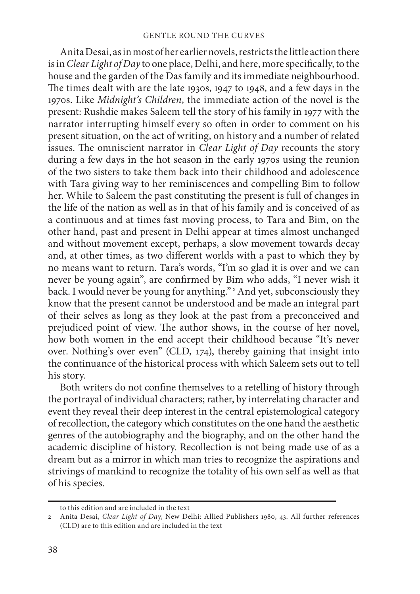Anita Desai, as in most of her earlier novels, restricts the little action there is in *Clear Light of Day* to one place, Delhi, and here, more specifically, to the house and the garden of the Das family and its immediate neighbourhood. The times dealt with are the late 1930s, 1947 to 1948, and a few days in the 1970s. Like *Midnight's Children*, the immediate action of the novel is the present: Rushdie makes Saleem tell the story of his family in 1977 with the narrator interrupting himself every so often in order to comment on his present situation, on the act of writing, on history and a number of related issues. The omniscient narrator in *Clear Light of Day* recounts the story during a few days in the hot season in the early 1970s using the reunion of the two sisters to take them back into their childhood and adolescence with Tara giving way to her reminiscences and compelling Bim to follow her. While to Saleem the past constituting the present is full of changes in the life of the nation as well as in that of his family and is conceived of as a continuous and at times fast moving process, to Tara and Bim, on the other hand, past and present in Delhi appear at times almost unchanged and without movement except, perhaps, a slow movement towards decay and, at other times, as two different worlds with a past to which they by no means want to return. Tara's words, "I'm so glad it is over and we can never be young again", are confirmed by Bim who adds, "I never wish it back. I would never be young for anything." 2 And yet, subconsciously they know that the present cannot be understood and be made an integral part of their selves as long as they look at the past from a preconceived and prejudiced point of view. The author shows, in the course of her novel, how both women in the end accept their childhood because "It's never over. Nothing's over even" (CLD, 174), thereby gaining that insight into the continuance of the historical process with which Saleem sets out to tell his story.

Both writers do not confine themselves to a retelling of history through the portrayal of individual characters; rather, by interrelating character and event they reveal their deep interest in the central epistemological category of recollection, the category which constitutes on the one hand the aesthetic genres of the autobiography and the biography, and on the other hand the academic discipline of history. Recollection is not being made use of as a dream but as a mirror in which man tries to recognize the aspirations and strivings of mankind to recognize the totality of his own self as well as that of his species.

to this edition and are included in the text

<sup>2</sup> Anita Desai, *Clear Light of Da*y, New Delhi: Allied Publishers 1980, 43. All further references (CLD) are to this edition and are included in the text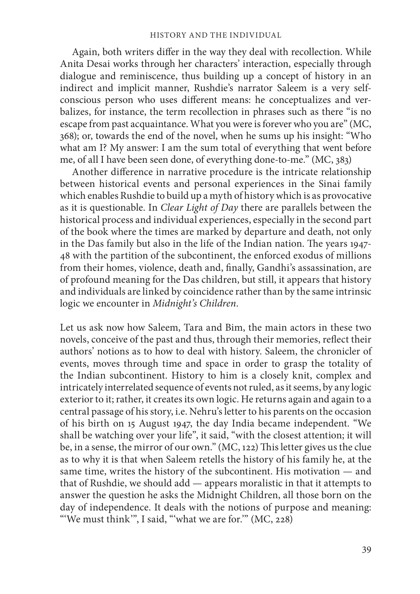Again, both writers differ in the way they deal with recollection. While Anita Desai works through her characters' interaction, especially through dialogue and reminiscence, thus building up a concept of history in an indirect and implicit manner, Rushdie's narrator Saleem is a very selfconscious person who uses different means: he conceptualizes and verbalizes, for instance, the term recollection in phrases such as there "is no escape from past acquaintance. What you were is forever who you are" (MC, 368); or, towards the end of the novel, when he sums up his insight: "Who what am I? My answer: I am the sum total of everything that went before me, of all I have been seen done, of everything done-to-me." (MC, 383)

Another difference in narrative procedure is the intricate relationship between historical events and personal experiences in the Sinai family which enables Rushdie to build up a myth of history which is as provocative as it is questionable. In *Clear Light of Day* there are parallels between the historical process and individual experiences, especially in the second part of the book where the times are marked by departure and death, not only in the Das family but also in the life of the Indian nation. The years 1947-48 with the partition of the subcontinent, the enforced exodus of millions from their homes, violence, death and, finally, Gandhi's assassination, are of profound meaning for the Das children, but still, it appears that history and individuals are linked by coincidence rather than by the same intrinsic logic we encounter in *Midnight's Children*.

Let us ask now how Saleem, Tara and Bim, the main actors in these two novels, conceive of the past and thus, through their memories, reflect their authors' notions as to how to deal with history. Saleem, the chronicler of events, moves through time and space in order to grasp the totality of the Indian subcontinent. History to him is a closely knit, complex and intricately interrelated sequence of events not ruled, as it seems, by any logic exterior to it; rather, it creates its own logic. He returns again and again to a central passage of his story, i.e. Nehru's letter to his parents on the occasion of his birth on 15 August 1947, the day India became independent. "We shall be watching over your life", it said, "with the closest attention; it will be, in a sense, the mirror of our own." (MC, 122) This letter gives us the clue as to why it is that when Saleem retells the history of his family he, at the same time, writes the history of the subcontinent. His motivation — and that of Rushdie, we should add — appears moralistic in that it attempts to answer the question he asks the Midnight Children, all those born on the day of independence. It deals with the notions of purpose and meaning: "'We must think"', I said, "'what we are for." (MC, 228)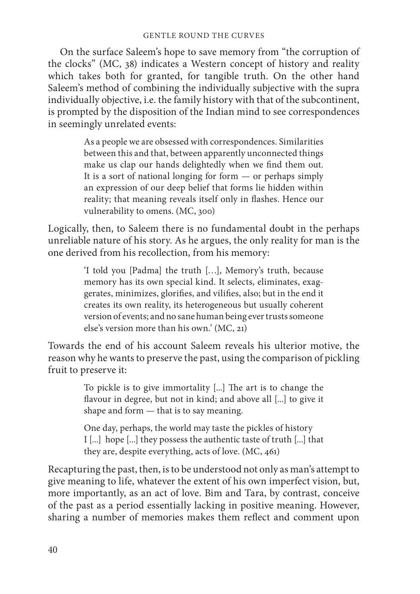On the surface Saleem's hope to save memory from "the corruption of the clocks" (MC, 38) indicates a Western concept of history and reality which takes both for granted, for tangible truth. On the other hand Saleem's method of combining the individually subjective with the supra individually objective, i.e. the family history with that of the subcontinent, is prompted by the disposition of the Indian mind to see correspondences in seemingly unrelated events:

> As a people we are obsessed with correspondences. Similarities between this and that, between apparently unconnected things make us clap our hands delightedly when we find them out. It is a sort of national longing for form — or perhaps simply an expression of our deep belief that forms lie hidden within reality; that meaning reveals itself only in flashes. Hence our vulnerability to omens. (MC, 300)

Logically, then, to Saleem there is no fundamental doubt in the perhaps unreliable nature of his story. As he argues, the only reality for man is the one derived from his recollection, from his memory:

> 'I told you [Padma] the truth […], Memory's truth, because memory has its own special kind. It selects, eliminates, exaggerates, minimizes, glorifies, and vilifies, also; but in the end it creates its own reality, its heterogeneous but usually coherent version of events; and no sane human being ever trusts someone else's version more than his own.' (MC, 21)

Towards the end of his account Saleem reveals his ulterior motive, the reason why he wants to preserve the past, using the comparison of pickling fruit to preserve it:

> To pickle is to give immortality [...] The art is to change the flavour in degree, but not in kind; and above all [...] to give it shape and form — that is to say meaning.

> One day, perhaps, the world may taste the pickles of history I [...] hope [...] they possess the authentic taste of truth [...] that they are, despite everything, acts of love. (MC, 461)

Recapturing the past, then, is to be understood not only as man's attempt to give meaning to life, whatever the extent of his own imperfect vision, but, more importantly, as an act of love. Bim and Tara, by contrast, conceive of the past as a period essentially lacking in positive meaning. However, sharing a number of memories makes them reflect and comment upon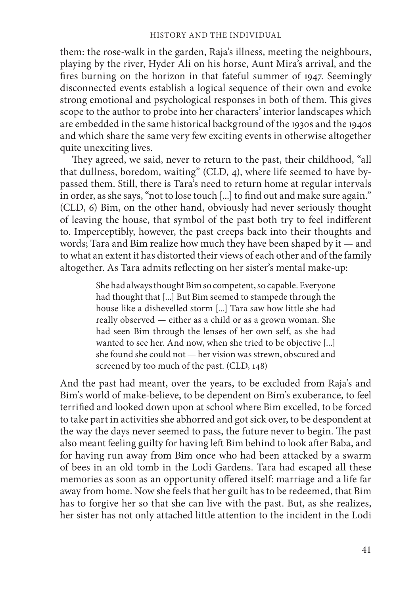them: the rose-walk in the garden, Raja's illness, meeting the neighbours, playing by the river, Hyder Ali on his horse, Aunt Mira's arrival, and the fires burning on the horizon in that fateful summer of 1947. Seemingly disconnected events establish a logical sequence of their own and evoke strong emotional and psychological responses in both of them. This gives scope to the author to probe into her characters' interior landscapes which are embedded in the same historical background of the 1930s and the 1940s and which share the same very few exciting events in otherwise altogether quite unexciting lives.

They agreed, we said, never to return to the past, their childhood, "all that dullness, boredom, waiting" (CLD, 4), where life seemed to have bypassed them. Still, there is Tara's need to return home at regular intervals in order, as she says, "not to lose touch [...] to find out and make sure again." (CLD, 6) Bim, on the other hand, obviously had never seriously thought of leaving the house, that symbol of the past both try to feel indifferent to. Imperceptibly, however, the past creeps back into their thoughts and words; Tara and Bim realize how much they have been shaped by it — and to what an extent it has distorted their views of each other and of the family altogether. As Tara admits reflecting on her sister's mental make-up:

> She had always thought Bim so competent, so capable. Everyone had thought that [...] But Bim seemed to stampede through the house like a dishevelled storm [...] Tara saw how little she had really observed — either as a child or as a grown woman. She had seen Bim through the lenses of her own self, as she had wanted to see her. And now, when she tried to be objective [...] she found she could not — her vision was strewn, obscured and screened by too much of the past. (CLD, 148)

And the past had meant, over the years, to be excluded from Raja's and Bim's world of make-believe, to be dependent on Bim's exuberance, to feel terrified and looked down upon at school where Bim excelled, to be forced to take part in activities she abhorred and got sick over, to be despondent at the way the days never seemed to pass, the future never to begin. The past also meant feeling guilty for having left Bim behind to look after Baba, and for having run away from Bim once who had been attacked by a swarm of bees in an old tomb in the Lodi Gardens. Tara had escaped all these memories as soon as an opportunity offered itself: marriage and a life far away from home. Now she feels that her guilt has to be redeemed, that Bim has to forgive her so that she can live with the past. But, as she realizes, her sister has not only attached little attention to the incident in the Lodi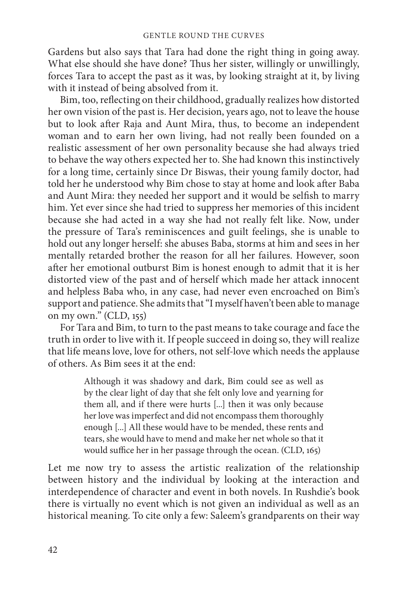Gardens but also says that Tara had done the right thing in going away. What else should she have done? Thus her sister, willingly or unwillingly, forces Tara to accept the past as it was, by looking straight at it, by living with it instead of being absolved from it.

Bim, too, reflecting on their childhood, gradually realizes how distorted her own vision of the past is. Her decision, years ago, not to leave the house but to look after Raja and Aunt Mira, thus, to become an independent woman and to earn her own living, had not really been founded on a realistic assessment of her own personality because she had always tried to behave the way others expected her to. She had known this instinctively for a long time, certainly since Dr Biswas, their young family doctor, had told her he understood why Bim chose to stay at home and look after Baba and Aunt Mira: they needed her support and it would be selfish to marry him. Yet ever since she had tried to suppress her memories of this incident because she had acted in a way she had not really felt like. Now, under the pressure of Tara's reminiscences and guilt feelings, she is unable to hold out any longer herself: she abuses Baba, storms at him and sees in her mentally retarded brother the reason for all her failures. However, soon after her emotional outburst Bim is honest enough to admit that it is her distorted view of the past and of herself which made her attack innocent and helpless Baba who, in any case, had never even encroached on Bim's support and patience. She admits that "I myself haven't been able to manage on my own." (CLD, 155)

For Tara and Bim, to turn to the past means to take courage and face the truth in order to live with it. If people succeed in doing so, they will realize that life means love, love for others, not self-love which needs the applause of others. As Bim sees it at the end:

> Although it was shadowy and dark, Bim could see as well as by the clear light of day that she felt only love and yearning for them all, and if there were hurts [...] then it was only because her love was imperfect and did not encompass them thoroughly enough [...] All these would have to be mended, these rents and tears, she would have to mend and make her net whole so that it would suffice her in her passage through the ocean. (CLD, 165)

Let me now try to assess the artistic realization of the relationship between history and the individual by looking at the interaction and interdependence of character and event in both novels. In Rushdie's book there is virtually no event which is not given an individual as well as an historical meaning. To cite only a few: Saleem's grandparents on their way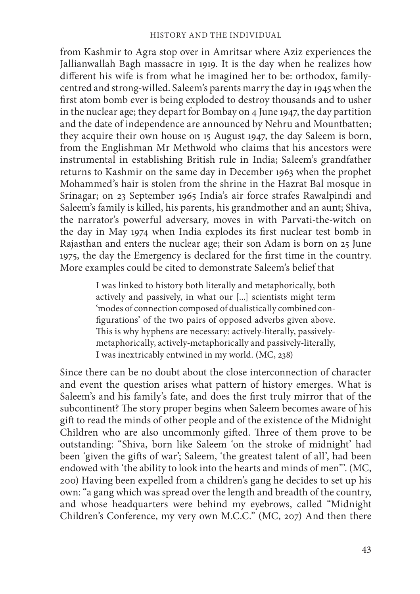from Kashmir to Agra stop over in Amritsar where Aziz experiences the Jallianwallah Bagh massacre in 1919. It is the day when he realizes how different his wife is from what he imagined her to be: orthodox, familycentred and strong-willed. Saleem's parents marry the day in 1945 when the first atom bomb ever is being exploded to destroy thousands and to usher in the nuclear age; they depart for Bombay on 4 June 1947, the day partition and the date of independence are announced by Nehru and Mountbatten; they acquire their own house on 15 August 1947, the day Saleem is born, from the Englishman Mr Methwold who claims that his ancestors were instrumental in establishing British rule in India; Saleem's grandfather returns to Kashmir on the same day in December 1963 when the prophet Mohammed's hair is stolen from the shrine in the Hazrat Bal mosque in Srinagar; on 23 September 1965 India's air force strafes Rawalpindi and Saleem's family is killed, his parents, his grandmother and an aunt; Shiva, the narrator's powerful adversary, moves in with Parvati-the-witch on the day in May 1974 when India explodes its first nuclear test bomb in Rajasthan and enters the nuclear age; their son Adam is born on 25 June 1975, the day the Emergency is declared for the first time in the country. More examples could be cited to demonstrate Saleem's belief that

> I was linked to history both literally and metaphorically, both actively and passively, in what our [...] scientists might term 'modes of connection composed of dualistically combined configurations' of the two pairs of opposed adverbs given above. This is why hyphens are necessary: actively-literally, passivelymetaphorically, actively-metaphorically and passively-literally, I was inextricably entwined in my world. (MC, 238)

Since there can be no doubt about the close interconnection of character and event the question arises what pattern of history emerges. What is Saleem's and his family's fate, and does the first truly mirror that of the subcontinent? The story proper begins when Saleem becomes aware of his gift to read the minds of other people and of the existence of the Midnight Children who are also uncommonly gifted. Three of them prove to be outstanding: "Shiva, born like Saleem 'on the stroke of midnight' had been 'given the gifts of war'; Saleem, 'the greatest talent of all', had been endowed with 'the ability to look into the hearts and minds of men"'. (MC, 200) Having been expelled from a children's gang he decides to set up his own: "a gang which was spread over the length and breadth of the country, and whose headquarters were behind my eyebrows, called "Midnight Children's Conference, my very own M.C.C." (MC, 207) And then there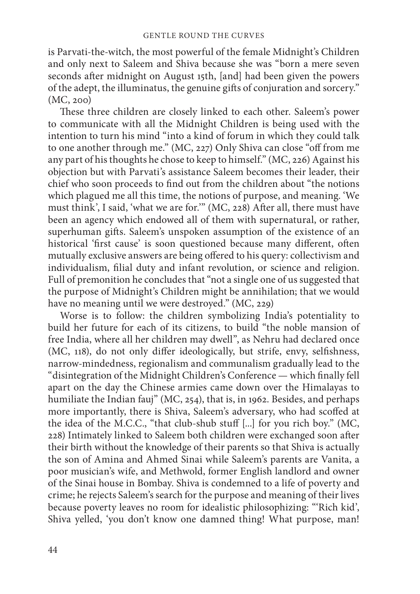is Parvati-the-witch, the most powerful of the female Midnight's Children and only next to Saleem and Shiva because she was "born a mere seven seconds after midnight on August 15th, [and] had been given the powers of the adept, the illuminatus, the genuine gifts of conjuration and sorcery." (MC, 200)

These three children are closely linked to each other. Saleem's power to communicate with all the Midnight Children is being used with the intention to turn his mind "into a kind of forum in which they could talk to one another through me." (MC, 227) Only Shiva can close "off from me any part of his thoughts he chose to keep to himself." (MC, 226) Against his objection but with Parvati's assistance Saleem becomes their leader, their chief who soon proceeds to find out from the children about "the notions which plagued me all this time, the notions of purpose, and meaning. 'We must think', I said, 'what we are for.'" (MC, 228) After all, there must have been an agency which endowed all of them with supernatural, or rather, superhuman gifts. Saleem's unspoken assumption of the existence of an historical 'first cause' is soon questioned because many different, often mutually exclusive answers are being offered to his query: collectivism and individualism, filial duty and infant revolution, or science and religion. Full of premonition he concludes that "not a single one of us suggested that the purpose of Midnight's Children might be annihilation; that we would have no meaning until we were destroyed." (MC, 229)

Worse is to follow: the children symbolizing India's potentiality to build her future for each of its citizens, to build "the noble mansion of free India, where all her children may dwell", as Nehru had declared once (MC,  $118$ ), do not only differ ideologically, but strife, envy, selfishness, narrow-mindedness, regionalism and communalism gradually lead to the "disintegration of the Midnight Children's Conference — which finally fell apart on the day the Chinese armies came down over the Himalayas to humiliate the Indian fauj" (MC, 254), that is, in 1962. Besides, and perhaps more importantly, there is Shiva, Saleem's adversary, who had scoffed at the idea of the M.C.C., "that club-shub stuff [...] for you rich boy." (MC, 228) Intimately linked to Saleem both children were exchanged soon after their birth without the knowledge of their parents so that Shiva is actually the son of Amina and Ahmed Sinai while Saleem's parents are Vanita, a poor musician's wife, and Methwold, former English landlord and owner of the Sinai house in Bombay. Shiva is condemned to a life of poverty and crime; he rejects Saleem's search for the purpose and meaning of their lives because poverty leaves no room for idealistic philosophizing: "'Rich kid', Shiva yelled, 'you don't know one damned thing! What purpose, man!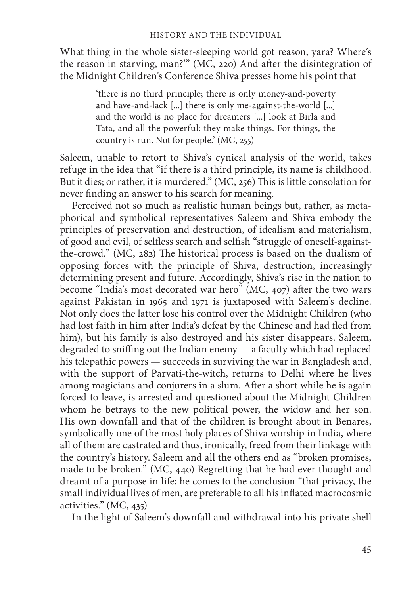What thing in the whole sister-sleeping world got reason, yara? Where's the reason in starving, man?" (MC, 220) And after the disintegration of the Midnight Children's Conference Shiva presses home his point that

> 'there is no third principle; there is only money-and-poverty and have-and-lack [...] there is only me-against-the-world [...] and the world is no place for dreamers [...] look at Birla and Tata, and all the powerful: they make things. For things, the country is run. Not for people.' (MC, 255)

Saleem, unable to retort to Shiva's cynical analysis of the world, takes refuge in the idea that "if there is a third principle, its name is childhood. But it dies; or rather, it is murdered." (MC, 256) This is little consolation for never finding an answer to his search for meaning.

Perceived not so much as realistic human beings but, rather, as metaphorical and symbolical representatives Saleem and Shiva embody the principles of preservation and destruction, of idealism and materialism, of good and evil, of selfless search and selfish "struggle of oneself-againstthe-crowd." (MC, 282) The historical process is based on the dualism of opposing forces with the principle of Shiva, destruction, increasingly determining present and future. Accordingly, Shiva's rise in the nation to become "India's most decorated war hero" (MC,  $407$ ) after the two wars against Pakistan in 1965 and 1971 is juxtaposed with Saleem's decline. Not only does the latter lose his control over the Midnight Children (who had lost faith in him after India's defeat by the Chinese and had fled from him), but his family is also destroyed and his sister disappears. Saleem, degraded to sniffing out the Indian enemy  $-$  a faculty which had replaced his telepathic powers — succeeds in surviving the war in Bangladesh and, with the support of Parvati-the-witch, returns to Delhi where he lives among magicians and conjurers in a slum. After a short while he is again forced to leave, is arrested and questioned about the Midnight Children whom he betrays to the new political power, the widow and her son. His own downfall and that of the children is brought about in Benares, symbolically one of the most holy places of Shiva worship in India, where all of them are castrated and thus, ironically, freed from their linkage with the country's history. Saleem and all the others end as "broken promises, made to be broken." (MC, 440) Regretting that he had ever thought and dreamt of a purpose in life; he comes to the conclusion "that privacy, the small individual lives of men, are preferable to all his inflated macrocosmic activities." (MC, 435)

In the light of Saleem's downfall and withdrawal into his private shell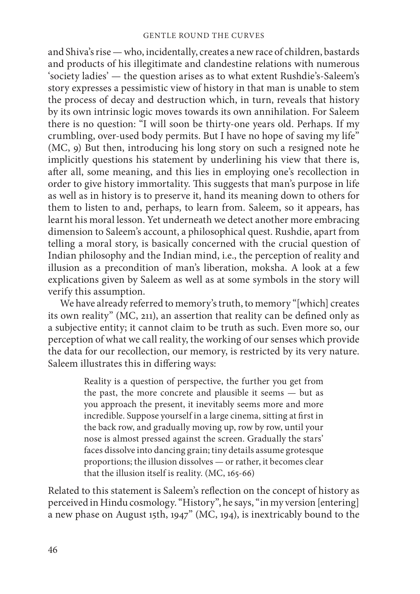and Shiva's rise — who, incidentally, creates a new race of children, bastards and products of his illegitimate and clandestine relations with numerous 'society ladies' — the question arises as to what extent Rushdie's-Saleem's story expresses a pessimistic view of history in that man is unable to stem the process of decay and destruction which, in turn, reveals that history by its own intrinsic logic moves towards its own annihilation. For Saleem there is no question: "I will soon be thirty-one years old. Perhaps. If my crumbling, over-used body permits. But I have no hope of saving my life" (MC, 9) But then, introducing his long story on such a resigned note he implicitly questions his statement by underlining his view that there is, after all, some meaning, and this lies in employing one's recollection in order to give history immortality. This suggests that man's purpose in life as well as in history is to preserve it, hand its meaning down to others for them to listen to and, perhaps, to learn from. Saleem, so it appears, has learnt his moral lesson. Yet underneath we detect another more embracing dimension to Saleem's account, a philosophical quest. Rushdie, apart from telling a moral story, is basically concerned with the crucial question of Indian philosophy and the Indian mind, i.e., the perception of reality and illusion as a precondition of man's liberation, moksha. A look at a few explications given by Saleem as well as at some symbols in the story will verify this assumption.

We have already referred to memory's truth, to memory "[which] creates its own reality" (MC, 211), an assertion that reality can be defined only as a subjective entity; it cannot claim to be truth as such. Even more so, our perception of what we call reality, the working of our senses which provide the data for our recollection, our memory, is restricted by its very nature. Saleem illustrates this in differing ways:

> Reality is a question of perspective, the further you get from the past, the more concrete and plausible it seems — but as you approach the present, it inevitably seems more and more incredible. Suppose yourself in a large cinema, sitting at first in the back row, and gradually moving up, row by row, until your nose is almost pressed against the screen. Gradually the stars' faces dissolve into dancing grain; tiny details assume grotesque proportions; the illusion dissolves — or rather, it becomes clear that the illusion itself is reality. (MC, 165-66)

Related to this statement is Saleem's reflection on the concept of history as perceived in Hindu cosmology. "History", he says, "in my version [entering] a new phase on August 15th, 1947" (MC, 194), is inextricably bound to the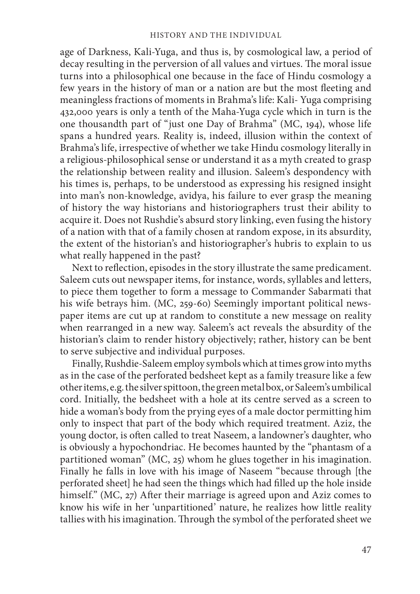age of Darkness, Kali-Yuga, and thus is, by cosmological law, a period of decay resulting in the perversion of all values and virtues. The moral issue turns into a philosophical one because in the face of Hindu cosmology a few years in the history of man or a nation are but the most fleeting and meaningless fractions of moments in Brahma's life: Kali- Yuga comprising 432,000 years is only a tenth of the Maha-Yuga cycle which in turn is the one thousandth part of "just one Day of Brahma" (MC, 194), whose life spans a hundred years. Reality is, indeed, illusion within the context of Brahma's life, irrespective of whether we take Hindu cosmology literally in a religious-philosophical sense or understand it as a myth created to grasp the relationship between reality and illusion. Saleem's despondency with his times is, perhaps, to be understood as expressing his resigned insight into man's non-knowledge, avidya, his failure to ever grasp the meaning of history the way historians and historiographers trust their ability to acquire it. Does not Rushdie's absurd story linking, even fusing the history of a nation with that of a family chosen at random expose, in its absurdity, the extent of the historian's and historiographer's hubris to explain to us what really happened in the past?

Next to reflection, episodes in the story illustrate the same predicament. Saleem cuts out newspaper items, for instance, words, syllables and letters, to piece them together to form a message to Commander Sabarmati that his wife betrays him. (MC, 259-60) Seemingly important political newspaper items are cut up at random to constitute a new message on reality when rearranged in a new way. Saleem's act reveals the absurdity of the historian's claim to render history objectively; rather, history can be bent to serve subjective and individual purposes.

Finally, Rushdie-Saleem employ symbols which at times grow into myths as in the case of the perforated bedsheet kept as a family treasure like a few other items, e.g. the silver spittoon, the green metal box, or Saleem's umbilical cord. Initially, the bedsheet with a hole at its centre served as a screen to hide a woman's body from the prying eyes of a male doctor permitting him only to inspect that part of the body which required treatment. Aziz, the young doctor, is often called to treat Naseem, a landowner's daughter, who is obviously a hypochondriac. He becomes haunted by the "phantasm of a partitioned woman" (MC, 25) whom he glues together in his imagination. Finally he falls in love with his image of Naseem "because through [the perforated sheet] he had seen the things which had filled up the hole inside himself." (MC, 27) After their marriage is agreed upon and Aziz comes to know his wife in her 'unpartitioned' nature, he realizes how little reality tallies with his imagination. Through the symbol of the perforated sheet we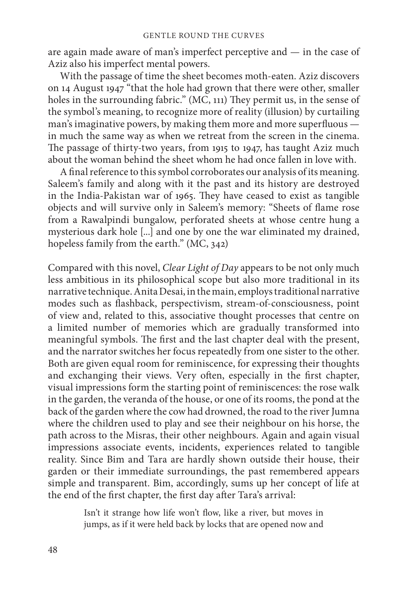are again made aware of man's imperfect perceptive and — in the case of Aziz also his imperfect mental powers.

With the passage of time the sheet becomes moth-eaten. Aziz discovers on 14 August 1947 "that the hole had grown that there were other, smaller holes in the surrounding fabric." (MC, 111) They permit us, in the sense of the symbol's meaning, to recognize more of reality (illusion) by curtailing man's imaginative powers, by making them more and more superfluous in much the same way as when we retreat from the screen in the cinema. The passage of thirty-two years, from 1915 to 1947, has taught Aziz much about the woman behind the sheet whom he had once fallen in love with.

A final reference to this symbol corroborates our analysis of its meaning. Saleem's family and along with it the past and its history are destroyed in the India-Pakistan war of 1965. They have ceased to exist as tangible objects and will survive only in Saleem's memory: "Sheets of flame rose from a Rawalpindi bungalow, perforated sheets at whose centre hung a mysterious dark hole [...] and one by one the war eliminated my drained, hopeless family from the earth." (MC, 342)

Compared with this novel, *Clear Light of Day* appears to be not only much less ambitious in its philosophical scope but also more traditional in its narrative technique. Anita Desai, in the main, employs traditional narrative modes such as flashback, perspectivism, stream-of-consciousness, point of view and, related to this, associative thought processes that centre on a limited number of memories which are gradually transformed into meaningful symbols. The first and the last chapter deal with the present, and the narrator switches her focus repeatedly from one sister to the other. Both are given equal room for reminiscence, for expressing their thoughts and exchanging their views. Very often, especially in the first chapter, visual impressions form the starting point of reminiscences: the rose walk in the garden, the veranda of the house, or one of its rooms, the pond at the back of the garden where the cow had drowned, the road to the river Jumna where the children used to play and see their neighbour on his horse, the path across to the Misras, their other neighbours. Again and again visual impressions associate events, incidents, experiences related to tangible reality. Since Bim and Tara are hardly shown outside their house, their garden or their immediate surroundings, the past remembered appears simple and transparent. Bim, accordingly, sums up her concept of life at the end of the first chapter, the first day after Tara's arrival:

> Isn't it strange how life won't flow, like a river, but moves in jumps, as if it were held back by locks that are opened now and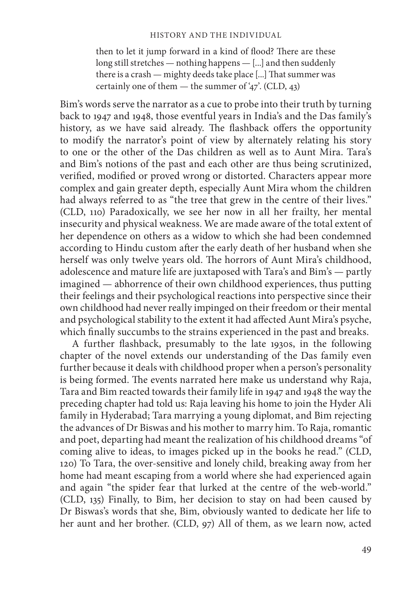then to let it jump forward in a kind of flood? There are these long still stretches — nothing happens — [...] and then suddenly there is a crash — mighty deeds take place [...] That summer was certainly one of them — the summer of '47'. (CLD, 43)

Bim's words serve the narrator as a cue to probe into their truth by turning back to 1947 and 1948, those eventful years in India's and the Das family's history, as we have said already. The flashback offers the opportunity to modify the narrator's point of view by alternately relating his story to one or the other of the Das children as well as to Aunt Mira. Tara's and Bim's notions of the past and each other are thus being scrutinized, verified, modified or proved wrong or distorted. Characters appear more complex and gain greater depth, especially Aunt Mira whom the children had always referred to as "the tree that grew in the centre of their lives." (CLD, 110) Paradoxically, we see her now in all her frailty, her mental insecurity and physical weakness. We are made aware of the total extent of her dependence on others as a widow to which she had been condemned according to Hindu custom after the early death of her husband when she herself was only twelve years old. The horrors of Aunt Mira's childhood, adolescence and mature life are juxtaposed with Tara's and Bim's — partly imagined — abhorrence of their own childhood experiences, thus putting their feelings and their psychological reactions into perspective since their own childhood had never really impinged on their freedom or their mental and psychological stability to the extent it had affected Aunt Mira's psyche, which finally succumbs to the strains experienced in the past and breaks.

A further flashback, presumably to the late 1930s, in the following chapter of the novel extends our understanding of the Das family even further because it deals with childhood proper when a person's personality is being formed. The events narrated here make us understand why Raja, Tara and Bim reacted towards their family life in 1947 and 1948 the way the preceding chapter had told us: Raja leaving his home to join the Hyder Ali family in Hyderabad; Tara marrying a young diplomat, and Bim rejecting the advances of Dr Biswas and his mother to marry him. To Raja, romantic and poet, departing had meant the realization of his childhood dreams "of coming alive to ideas, to images picked up in the books he read." (CLD, 120) To Tara, the over-sensitive and lonely child, breaking away from her home had meant escaping from a world where she had experienced again and again "the spider fear that lurked at the centre of the web-world." (CLD, 135) Finally, to Bim, her decision to stay on had been caused by Dr Biswas's words that she, Bim, obviously wanted to dedicate her life to her aunt and her brother. (CLD, 97) All of them, as we learn now, acted